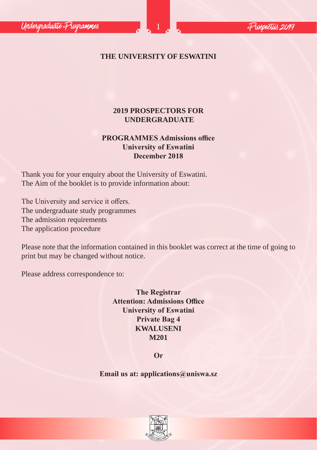# **THE UNIVERSITY OF ESWATINI**

# **2019 PROSPECTORS FOR UNDERGRADUATE**

# **PROGRAMMES Admissions office University of Eswatini December 2018**

Thank you for your enquiry about the University of Eswatini. The Aim of the booklet is to provide information about:

The University and service it offers. The undergraduate study programmes The admission requirements The application procedure

Please note that the information contained in this booklet was correct at the time of going to print but may be changed without notice.

Please address correspondence to:

**The Registrar Attention: Admissions Office University of Eswatini Private Bag 4 KWALUSENI M201**

**Or** 

**Email us at: applications@uniswa.sz**

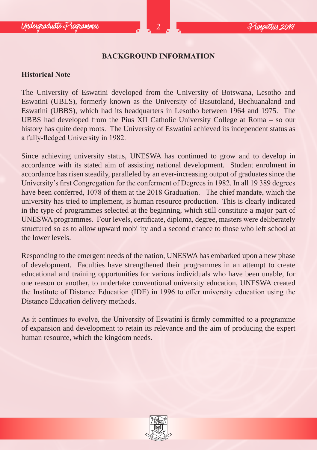## **BACKGROUND INFORMATION**

#### **Historical Note**

The University of Eswatini developed from the University of Botswana, Lesotho and Eswatini (UBLS), formerly known as the University of Basutoland, Bechuanaland and Eswatini (UBBS), which had its headquarters in Lesotho between 1964 and 1975. The UBBS had developed from the Pius XII Catholic University College at Roma – so our history has quite deep roots. The University of Eswatini achieved its independent status as a fully-fledged University in 1982.

Since achieving university status, UNESWA has continued to grow and to develop in accordance with its stated aim of assisting national development. Student enrolment in accordance has risen steadily, paralleled by an ever-increasing output of graduates since the University's first Congregation for the conferment of Degrees in 1982. In all 19 389 degrees have been conferred, 1078 of them at the 2018 Graduation. The chief mandate, which the university has tried to implement, is human resource production. This is clearly indicated in the type of programmes selected at the beginning, which still constitute a major part of UNESWA programmes. Four levels, certificate, diploma, degree, masters were deliberately structured so as to allow upward mobility and a second chance to those who left school at the lower levels.

Responding to the emergent needs of the nation, UNESWA has embarked upon a new phase of development. Faculties have strengthened their programmes in an attempt to create educational and training opportunities for various individuals who have been unable, for one reason or another, to undertake conventional university education, UNESWA created the Institute of Distance Education (IDE) in 1996 to offer university education using the Distance Education delivery methods.

As it continues to evolve, the University of Eswatini is firmly committed to a programme of expansion and development to retain its relevance and the aim of producing the expert human resource, which the kingdom needs.

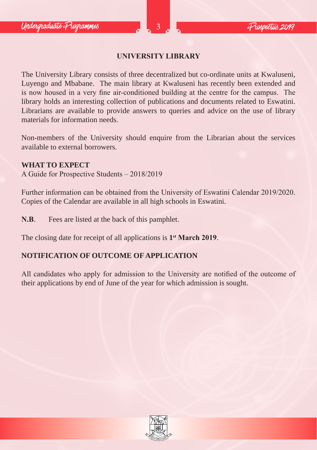## **UNIVERSITY LIBRARY**

The University Library consists of three decentralized but co-ordinate units at Kwaluseni, Luyengo and Mbabane. The main library at Kwaluseni has recently been extended and is now housed in a very fine air-conditioned building at the centre for the campus. The library holds an interesting collection of publications and documents related to Eswatini. Librarians are available to provide answers to queries and advice on the use of library materials for information needs.

Non-members of the University should enquire from the Librarian about the services available to external borrowers.

#### **WHAT TO EXPECT**

A Guide for Prospective Students – 2018/2019

Further information can be obtained from the University of Eswatini Calendar 2019/2020. Copies of the Calendar are available in all high schools in Eswatini.

**N.B**. Fees are listed at the back of this pamphlet.

The closing date for receipt of all applications is **1st March 2019**.

#### **NOTIFICATION OF OUTCOME OF APPLICATION**

All candidates who apply for admission to the University are notified of the outcome of their applications by end of June of the year for which admission is sought.

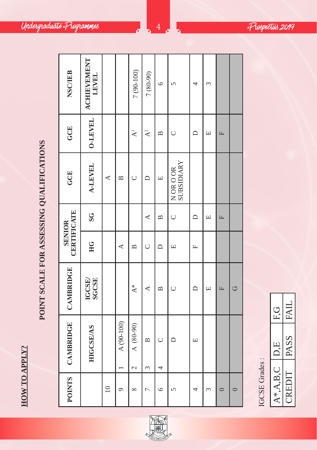HOW TO APPLY? **HOW TO APPLY?**

POINT SCALE FOR ASSESSING QUALIFICATIONS **POINT SCALE FOR ASSESSING QUALIFICATIONS**

| <b>NSC/IEB</b>                      | ACHIEVEMENT<br>LEVEL |             |                | $7(90-100)$                  | 7 (80-90)              | $\circ$                          | $\sqrt{ }$              |        | 3 |              |         |
|-------------------------------------|----------------------|-------------|----------------|------------------------------|------------------------|----------------------------------|-------------------------|--------|---|--------------|---------|
| GCE                                 | <b>O-LEVEL</b>       |             |                | $\bar{\mathbf{z}}$           | $\mathbf{A}^2$         | $\mathbf{a}$                     | $\cup$                  | $\Box$ | Щ | E            |         |
| GCE                                 | <b>A-LEVEL</b>       | ⋖           | $\mathbf{\Xi}$ | $\cup$                       | ≏                      | $\boxed{\underline{\mathbf{L}}}$ | SUBSIDIARY<br>N OR O OR |        |   |              |         |
|                                     | S <sub>G</sub>       |             |                |                              | ≺                      | $\mathbf{\Xi}$                   | U                       | $\Box$ | Щ | E            |         |
| <b>CERTIFICATE</b><br><b>SENIOR</b> | HG                   |             | ⋖              | $\mathbf{\Xi}$               | $\cup$                 | ≏                                | 凹                       | Щ      |   |              |         |
| CAMBRIDGE                           | IGCSE/<br>SGCSE      |             |                | $\Lambda^*$                  | ≺                      | $\mathbf{a}$                     | $\cup$                  | ≏      | Щ | $\mathbb{E}$ | O       |
| <b>CAMBRIDGE</b>                    | <b>HIGCSE/AS</b>     |             | A (90-100)     | A (80-90)<br>$\mathbf{\sim}$ | $\mathbf{\Omega}$<br>3 | $\cup$<br>4                      | ≏                       | 凹      |   |              |         |
| <b>POINTS</b>                       |                      | $\supseteq$ | 9              | $\infty$                     | $\overline{ }$         | $\circ$                          | 5                       | 4      | 3 | $\circ$      | $\circ$ |

্ষ্কি LO <sup>S</sup>ESIV<sup>E</sup>



| EG         | .FAJ'      |
|------------|------------|
| D.E        | PASS       |
| $A^*A.B.C$ | ŀ<br>CREDI |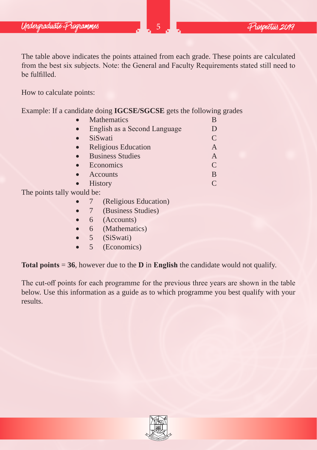The table above indicates the points attained from each grade. These points are calculated from the best six subjects. Note: the General and Faculty Requirements stated still need to be fulfilled.

How to calculate points:

Example: If a candidate doing **IGCSE/SGCSE** gets the following grades

| <b>Mathematics</b>           | B             |
|------------------------------|---------------|
| English as a Second Language | D             |
| SiSwati                      | $\mathsf{C}$  |
| <b>Religious Education</b>   | A             |
| <b>Business Studies</b>      | A             |
| Economics                    | $\mathcal{C}$ |
| Accounts                     | B             |
| <b>History</b>               | $\subset$     |
| vould be <sup>.</sup>        |               |

The points tally **v** 

- 7 (Religious Education)
- 7 (Business Studies)
- 6 (Accounts)
- 6 (Mathematics)
- 5 (SiSwati)
- 5 (Economics)

**Total points** = **36**, however due to the **D** in **English** the candidate would not qualify.

The cut-off points for each programme for the previous three years are shown in the table below. Use this information as a guide as to which programme you best qualify with your results.

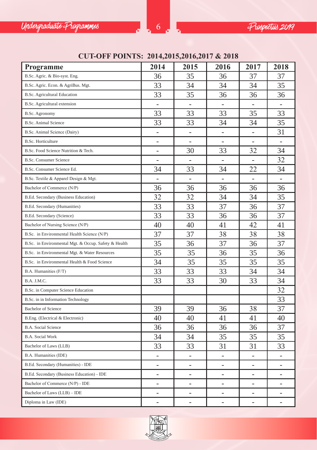

# **CUT-OFF POINTS: 2014,2015,2016,2017 & 2018**

| Programme                                            | 2014                         | 2015                     | 2016                     | 2017                     | 2018                     |
|------------------------------------------------------|------------------------------|--------------------------|--------------------------|--------------------------|--------------------------|
| B.Sc. Agric. & Bio-syst. Eng.                        | 36                           | 35                       | 36                       | 37                       | 37                       |
| B.Sc. Agric. Econ. & AgriBus. Mgt.                   | 33                           | 34                       | 34                       | 34                       | 35                       |
| B.Sc. Agricultural Education                         | 33                           | 35                       | 36                       | 36                       | 36                       |
| B.Sc. Agricultural extension                         | ٠                            | $\overline{\phantom{a}}$ | $\overline{\phantom{a}}$ | $\overline{\phantom{a}}$ |                          |
| B.Sc. Agronomy                                       | 33                           | 33                       | 33                       | 35                       | 33                       |
| <b>B.Sc. Animal Science</b>                          | 33                           | 33                       | 34                       | 34                       | 35                       |
| B.Sc. Animal Science (Dairy)                         | -                            | -                        | $\overline{\phantom{a}}$ | $\overline{\phantom{a}}$ | 31                       |
| <b>B.Sc. Horticulture</b>                            | $\overline{\phantom{0}}$     | $\overline{\phantom{a}}$ | ÷.                       | $\sim$                   | $\overline{\phantom{a}}$ |
| B.Sc. Food Science Nutrition & Tech.                 | -                            | 30                       | 33                       | 32                       | 34                       |
| <b>B.Sc. Consumer Science</b>                        | $\overline{\phantom{0}}$     | $\overline{\phantom{a}}$ | $\overline{a}$           | $\overline{\phantom{a}}$ | 32                       |
| B.Sc. Consumer Science Ed.                           | 34                           | 33                       | 34                       | 22                       | 34                       |
| B.Sc. Textile & Apparel Design & Mgt.                | $\qquad \qquad \blacksquare$ | $\overline{\phantom{a}}$ | $\overline{\phantom{a}}$ | $\overline{\phantom{a}}$ | ٠                        |
| Bachelor of Commerce (N/P)                           | 36                           | 36                       | 36                       | 36                       | 36                       |
| B.Ed. Secondary (Business Education)                 | 32                           | 32                       | 34                       | 34                       | 35                       |
| B.Ed. Secondary (Humanities)                         | 33                           | 33                       | 37                       | 36                       | 37                       |
| B.Ed. Secondary (Science)                            | 33                           | 33                       | 36                       | 36                       | 37                       |
| Bachelor of Nursing Science (N/P)                    | 40                           | 40                       | 41                       | 42                       | 41                       |
| B.Sc. in Environmental Health Science (N/P)          | 37                           | 37                       | 38                       | 38                       | 38                       |
| B.Sc. in Environmental Mgt. & Occup. Safety & Health | 35                           | 36                       | 37                       | 36                       | 37                       |
| B.Sc. in Environmental Mgt. & Water Resources        | 35                           | 35                       | 36                       | 35                       | 36                       |
| B.Sc. in Environmental Health & Food Science         | 34                           | 35                       | 35                       | 35                       | 35                       |
| B.A. Humanities (F/T)                                | 33                           | 33                       | 33                       | 34                       | 34                       |
| B.A. J.M.C.                                          | 33                           | 33                       | 30                       | 33                       | 34                       |
| B.Sc. in Computer Science Education                  |                              |                          |                          |                          | 32                       |
| B.Sc. in in Information Technology                   |                              |                          |                          |                          | 33                       |
| <b>Bachelor</b> of Science                           | 39                           | 39                       | 36                       | 38                       | 37                       |
| B.Eng. (Electrical & Electronic)                     | 40                           | 40                       | 41                       | 41                       | 40                       |
| B.A. Social Science                                  | 36                           | 36                       | 36                       | 36                       | 37                       |
| <b>B.A. Social Work</b>                              | 34                           | 34                       | 35                       | 35                       | 35                       |
| Bachelor of Laws (LLB)                               | 33                           | 33                       | 31                       | 31                       | 33                       |
| B.A. Humanities (IDE)                                | ÷                            |                          | ä,                       |                          | L.                       |
| B.Ed. Secondary (Humanities) - IDE                   | ۰                            |                          | ä,                       |                          | -                        |
| B.Ed. Secondary (Business Education) - IDE           | ۰                            | L.                       | ۰                        | ٠                        | $\overline{a}$           |
| Bachelor of Commerce (N/P) - IDE                     | $\overline{a}$               |                          | $\overline{a}$           |                          | -                        |
| Bachelor of Laws (LLB) - IDE                         |                              |                          |                          |                          |                          |
| Diploma in Law (IDE)                                 | -                            | -                        | ÷,                       |                          |                          |

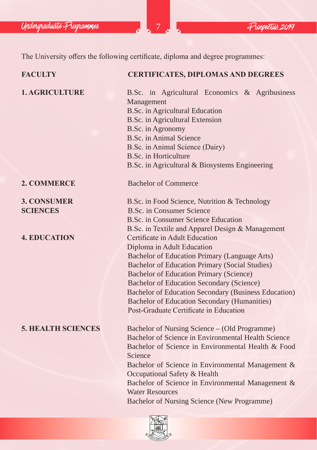Undergraduate Programmes 2019

The University offers the following certificate, diploma and degree programmes:

| <b>FACULTY</b>            | <b>CERTIFICATES, DIPLOMAS AND DEGREES</b>                                                                                                                                                                                                                                                                      |  |  |  |
|---------------------------|----------------------------------------------------------------------------------------------------------------------------------------------------------------------------------------------------------------------------------------------------------------------------------------------------------------|--|--|--|
| <b>1. AGRICULTURE</b>     | B.Sc. in Agricultural Economics & Agribusiness<br>Management<br><b>B.Sc.</b> in Agricultural Education<br><b>B.Sc.</b> in Agricultural Extension<br>B.Sc. in Agronomy<br>B.Sc. in Animal Science<br>B.Sc. in Animal Science (Dairy)<br>B.Sc. in Horticulture<br>B.Sc. in Agricultural & Biosystems Engineering |  |  |  |
| 2. COMMERCE               | <b>Bachelor of Commerce</b>                                                                                                                                                                                                                                                                                    |  |  |  |
| <b>3. CONSUMER</b>        | B.Sc. in Food Science, Nutrition & Technology                                                                                                                                                                                                                                                                  |  |  |  |
| <b>SCIENCES</b>           | B.Sc. in Consumer Science                                                                                                                                                                                                                                                                                      |  |  |  |
|                           | B.Sc. in Consumer Science Education                                                                                                                                                                                                                                                                            |  |  |  |
|                           | B.Sc. in Textile and Apparel Design & Management                                                                                                                                                                                                                                                               |  |  |  |
| <b>4. EDUCATION</b>       | Certificate in Adult Education                                                                                                                                                                                                                                                                                 |  |  |  |
|                           | Diploma in Adult Education                                                                                                                                                                                                                                                                                     |  |  |  |
|                           | Bachelor of Education Primary (Language Arts)                                                                                                                                                                                                                                                                  |  |  |  |
|                           | <b>Bachelor of Education Primary (Social Studies)</b>                                                                                                                                                                                                                                                          |  |  |  |
|                           | <b>Bachelor of Education Primary (Science)</b>                                                                                                                                                                                                                                                                 |  |  |  |
|                           | <b>Bachelor of Education Secondary (Science)</b>                                                                                                                                                                                                                                                               |  |  |  |
|                           | Bachelor of Education Secondary (Business Education)                                                                                                                                                                                                                                                           |  |  |  |
|                           | <b>Bachelor of Education Secondary (Humanities)</b>                                                                                                                                                                                                                                                            |  |  |  |
|                           | Post-Graduate Certificate in Education                                                                                                                                                                                                                                                                         |  |  |  |
| <b>5. HEALTH SCIENCES</b> | Bachelor of Nursing Science – (Old Programme)                                                                                                                                                                                                                                                                  |  |  |  |
|                           | Bachelor of Science in Environmental Health Science                                                                                                                                                                                                                                                            |  |  |  |
|                           | Bachelor of Science in Environmental Health & Food                                                                                                                                                                                                                                                             |  |  |  |
|                           | Science                                                                                                                                                                                                                                                                                                        |  |  |  |
|                           | Bachelor of Science in Environmental Management &                                                                                                                                                                                                                                                              |  |  |  |
|                           | Occupational Safety & Health                                                                                                                                                                                                                                                                                   |  |  |  |
|                           | Bachelor of Science in Environmental Management &                                                                                                                                                                                                                                                              |  |  |  |
|                           | <b>Water Resources</b>                                                                                                                                                                                                                                                                                         |  |  |  |
|                           | Bachelor of Nursing Science (New Programme)                                                                                                                                                                                                                                                                    |  |  |  |
|                           |                                                                                                                                                                                                                                                                                                                |  |  |  |
|                           |                                                                                                                                                                                                                                                                                                                |  |  |  |

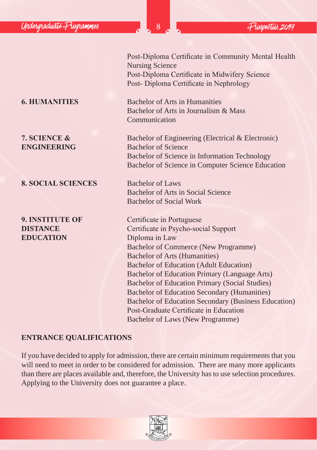Post-Diploma Certificate in Community Mental Health Nursing Science Post-Diploma Certificate in Midwifery Science Post- Diploma Certificate in Nephrology

**6. HUMANITIES** Bachelor of Arts in Humanities Bachelor of Arts in Journalism & Mass Communication

**7. SCIENCE &** Bachelor of Engineering (Electrical & Electronic) **ENGINEERING** Bachelor of Science Bachelor of Science in Information Technology Bachelor of Science in Computer Science Education

> Bachelor of Arts in Social Science Bachelor of Social Work

**9. INSTITUTE OF Certificate in Portuguese DISTANCE** Certificate in Psycho-social Support Bachelor of Commerce (New Programme) Bachelor of Arts (Humanities) Bachelor of Education (Adult Education) Bachelor of Education Primary (Language Arts) Bachelor of Education Primary (Social Studies) Bachelor of Education Secondary (Humanities) Bachelor of Education Secondary (Business Education) Post-Graduate Certificate in Education Bachelor of Laws (New Programme)

# **ENTRANCE QUALIFICATIONS**

If you have decided to apply for admission, there are certain minimum requirements that you will need to meet in order to be considered for admission. There are many more applicants than there are places available and, therefore, the University has to use selection procedures. Applying to the University does not guarantee a place.



#### 8. SOCIAL SCIENCES Bachelor of Laws

**EDUCATION** Diploma in Law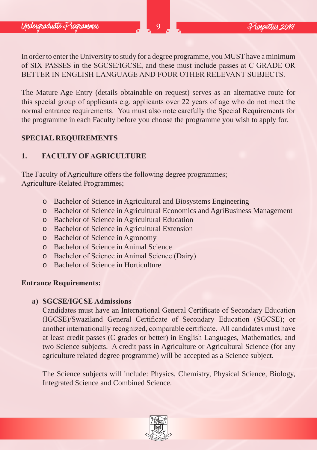In order to enter the University to study for a degree programme, you MUST have a minimum of SIX PASSES in the SGCSE/IGCSE, and these must include passes at C GRADE OR BETTER IN ENGLISH LANGUAGE AND FOUR OTHER RELEVANT SUBJECTS.

The Mature Age Entry (details obtainable on request) serves as an alternative route for this special group of applicants e.g. applicants over 22 years of age who do not meet the normal entrance requirements. You must also note carefully the Special Requirements for the programme in each Faculty before you choose the programme you wish to apply for.

## **SPECIAL REQUIREMENTS**

# **1. FACULTY OF AGRICULTURE**

The Faculty of Agriculture offers the following degree programmes; Agriculture-Related Programmes;

- o Bachelor of Science in Agricultural and Biosystems Engineering
- o Bachelor of Science in Agricultural Economics and AgriBusiness Management
- o Bachelor of Science in Agricultural Education
- o Bachelor of Science in Agricultural Extension
- o Bachelor of Science in Agronomy
- o Bachelor of Science in Animal Science
- o Bachelor of Science in Animal Science (Dairy)
- o Bachelor of Science in Horticulture

# **Entrance Requirements:**

## **a) SGCSE/IGCSE Admissions**

Candidates must have an International General Certificate of Secondary Education (IGCSE)/Swaziland General Certificate of Secondary Education (SGCSE); or another internationally recognized, comparable certificate. All candidates must have at least credit passes (C grades or better) in English Languages, Mathematics, and two Science subjects. A credit pass in Agriculture or Agricultural Science (for any agriculture related degree programme) will be accepted as a Science subject.

The Science subjects will include: Physics, Chemistry, Physical Science, Biology, Integrated Science and Combined Science.

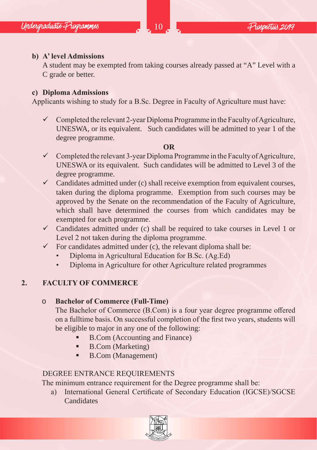# **b) A' level Admissions**

A student may be exempted from taking courses already passed at "A" Level with a C grade or better.

# **c) Diploma Admissions**

Applicants wishing to study for a B.Sc. Degree in Faculty of Agriculture must have:

 $\checkmark$  Completed the relevant 2-year Diploma Programme in the Faculty of Agriculture, UNESWA, or its equivalent. Such candidates will be admitted to year 1 of the degree programme.

# **OR**

- $\checkmark$  Completed the relevant 3-year Diploma Programme in the Faculty of Agriculture, UNESWA or its equivalent. Such candidates will be admitted to Level 3 of the degree programme.
- $\checkmark$  Candidates admitted under (c) shall receive exemption from equivalent courses, taken during the diploma programme. Exemption from such courses may be approved by the Senate on the recommendation of the Faculty of Agriculture, which shall have determined the courses from which candidates may be exempted for each programme.
- $\checkmark$  Candidates admitted under (c) shall be required to take courses in Level 1 or Level 2 not taken during the diploma programme.
- $\checkmark$  For candidates admitted under (c), the relevant diploma shall be:
	- Diploma in Agricultural Education for B.Sc. (Ag.Ed)
	- Diploma in Agriculture for other Agriculture related programmes

# **2. FACULTY OF COMMERCE**

# o **Bachelor of Commerce (Full-Time)**

The Bachelor of Commerce (B.Com) is a four year degree programme offered on a fulltime basis. On successful completion of the first two years, students will be eligible to major in any one of the following:

- B.Com (Accounting and Finance)
- B.Com (Marketing)
- B.Com (Management)

# DEGREE ENTRANCE REQUIREMENTS

The minimum entrance requirement for the Degree programme shall be:

a) International General Certificate of Secondary Education (IGCSE)/SGCSE **Candidates** 

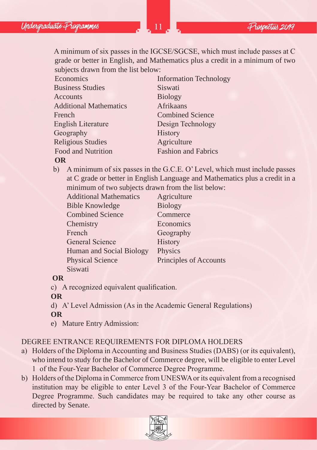A minimum of six passes in the IGCSE/SGCSE, which must include passes at C grade or better in English, and Mathematics plus a credit in a minimum of two subjects drawn from the list below:

| Economics                     | <b>Information Technology</b> |
|-------------------------------|-------------------------------|
| <b>Business Studies</b>       | Siswati                       |
| Accounts                      | <b>Biology</b>                |
| <b>Additional Mathematics</b> | Afrikaans                     |
| French                        | <b>Combined Science</b>       |
| English Literature            | Design Technology             |
| Geography                     | History                       |
| <b>Religious Studies</b>      | Agriculture                   |
| Food and Nutrition            | <b>Fashion and Fabrics</b>    |
|                               |                               |

## **OR**

b) A minimum of six passes in the G.C.E. O' Level, which must include passes at C grade or better in English Language and Mathematics plus a credit in a minimum of two subjects drawn from the list below:

| <b>Additional Mathematics</b> | Agriculture            |
|-------------------------------|------------------------|
| <b>Bible Knowledge</b>        | <b>Biology</b>         |
| <b>Combined Science</b>       | Commerce               |
| Chemistry                     | Economics              |
| French                        | Geography              |
| General Science               | History                |
| Human and Social Biology      | Physics                |
| <b>Physical Science</b>       | Principles of Accounts |
| Siswati                       |                        |

## **OR**

c) A recognized equivalent qualification.

## **OR**

d) A' Level Admission (As in the Academic General Regulations)

## **OR**

e) Mature Entry Admission:

# DEGREE ENTRANCE REQUIREMENTS FOR DIPLOMA HOLDERS

- a) Holders of the Diploma in Accounting and Business Studies (DABS) (or its equivalent), who intend to study for the Bachelor of Commerce degree, will be eligible to enter Level 1 of the Four-Year Bachelor of Commerce Degree Programme.
- b) Holders of the Diploma in Commerce from UNESWA or its equivalent from a recognised institution may be eligible to enter Level 3 of the Four-Year Bachelor of Commerce Degree Programme. Such candidates may be required to take any other course as directed by Senate.

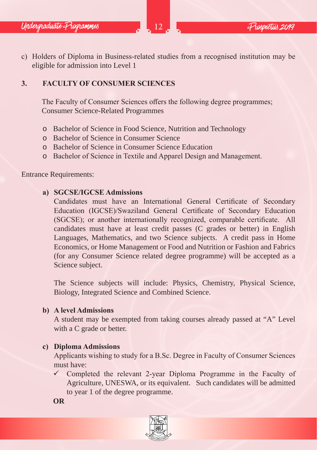c) Holders of Diploma in Business-related studies from a recognised institution may be eligible for admission into Level 1

# **3. FACULTY OF CONSUMER SCIENCES**

The Faculty of Consumer Sciences offers the following degree programmes; Consumer Science-Related Programmes

- o Bachelor of Science in Food Science, Nutrition and Technology
- o Bachelor of Science in Consumer Science
- o Bachelor of Science in Consumer Science Education
- o Bachelor of Science in Textile and Apparel Design and Management.

Entrance Requirements:

#### **a) SGCSE/IGCSE Admissions**

Candidates must have an International General Certificate of Secondary Education (IGCSE)/Swaziland General Certificate of Secondary Education (SGCSE); or another internationally recognized, comparable certificate. All candidates must have at least credit passes (C grades or better) in English Languages, Mathematics, and two Science subjects. A credit pass in Home Economics, or Home Management or Food and Nutrition or Fashion and Fabrics (for any Consumer Science related degree programme) will be accepted as a Science subject.

The Science subjects will include: Physics, Chemistry, Physical Science, Biology, Integrated Science and Combined Science.

#### **b) A level Admissions**

A student may be exempted from taking courses already passed at "A" Level with a C grade or better.

## **c) Diploma Admissions**

Applicants wishing to study for a B.Sc. Degree in Faculty of Consumer Sciences must have:

 $\checkmark$  Completed the relevant 2-year Diploma Programme in the Faculty of Agriculture, UNESWA, or its equivalent. Such candidates will be admitted to year 1 of the degree programme.

**OR**

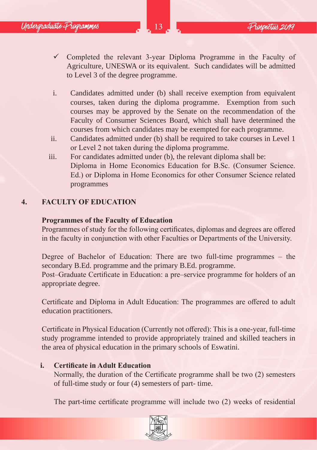- $\checkmark$  Completed the relevant 3-year Diploma Programme in the Faculty of Agriculture, UNESWA or its equivalent. Such candidates will be admitted to Level 3 of the degree programme.
- i. Candidates admitted under (b) shall receive exemption from equivalent courses, taken during the diploma programme. Exemption from such courses may be approved by the Senate on the recommendation of the Faculty of Consumer Sciences Board, which shall have determined the courses from which candidates may be exempted for each programme.
- ii. Candidates admitted under (b) shall be required to take courses in Level 1 or Level 2 not taken during the diploma programme.
- iii. For candidates admitted under (b), the relevant diploma shall be: Diploma in Home Economics Education for B.Sc. (Consumer Science. Ed.) or Diploma in Home Economics for other Consumer Science related programmes

## **4. FACULTY OF EDUCATION**

## **Programmes of the Faculty of Education**

Programmes of study for the following certificates, diplomas and degrees are offered in the faculty in conjunction with other Faculties or Departments of the University.

Degree of Bachelor of Education: There are two full-time programmes – the secondary B.Ed. programme and the primary B.Ed. programme.

Post–Graduate Certificate in Education: a pre–service programme for holders of an appropriate degree.

Certificate and Diploma in Adult Education: The programmes are offered to adult education practitioners.

Certificate in Physical Education (Currently not offered): This is a one-year, full-time study programme intended to provide appropriately trained and skilled teachers in the area of physical education in the primary schools of Eswatini.

## **i. Certificate in Adult Education**

Normally, the duration of the Certificate programme shall be two (2) semesters of full-time study or four (4) semesters of part- time.

The part-time certificate programme will include two (2) weeks of residential

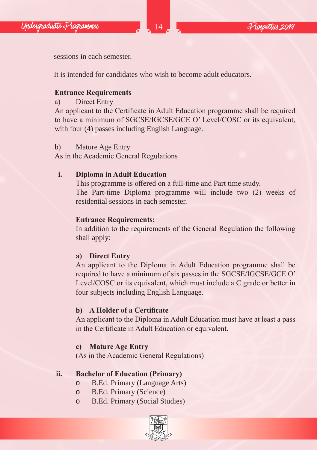

sessions in each semester.

It is intended for candidates who wish to become adult educators.

# **Entrance Requirements**

a) Direct Entry

An applicant to the Certificate in Adult Education programme shall be required to have a minimum of SGCSE/IGCSE/GCE O' Level/COSC or its equivalent, with four (4) passes including English Language.

## b) Mature Age Entry

As in the Academic General Regulations

# **i. Diploma in Adult Education**

This programme is offered on a full-time and Part time study. The Part-time Diploma programme will include two (2) weeks of residential sessions in each semester.

## **Entrance Requirements:**

In addition to the requirements of the General Regulation the following shall apply:

# **a) Direct Entry**

An applicant to the Diploma in Adult Education programme shall be required to have a minimum of six passes in the SGCSE/IGCSE/GCE O' Level/COSC or its equivalent, which must include a C grade or better in four subjects including English Language.

# **b) A Holder of a Certificate**

An applicant to the Diploma in Adult Education must have at least a pass in the Certificate in Adult Education or equivalent.

# **c) Mature Age Entry**

(As in the Academic General Regulations)

# **ii. Bachelor of Education (Primary)**

- o B.Ed. Primary (Language Arts)
- B.Ed. Primary (Science)
- o B.Ed. Primary (Social Studies)

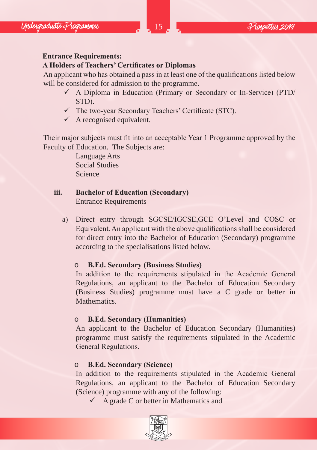## **Entrance Requirements:**

## **A Holders of Teachers' Certificates or Diplomas**

An applicant who has obtained a pass in at least one of the qualifications listed below will be considered for admission to the programme.

- A Diploma in Education (Primary or Secondary or In-Service) (PTD/ STD).
- $\checkmark$  The two-year Secondary Teachers' Certificate (STC).
- $\checkmark$  A recognised equivalent.

Their major subjects must fit into an acceptable Year 1 Programme approved by the Faculty of Education. The Subjects are:

> Language Arts Social Studies Science

# **iii. Bachelor of Education (Secondary)**

Entrance Requirements

a) Direct entry through SGCSE/IGCSE,GCE O'Level and COSC or Equivalent. An applicant with the above qualifications shall be considered for direct entry into the Bachelor of Education (Secondary) programme according to the specialisations listed below.

# o **B.Ed. Secondary (Business Studies)**

In addition to the requirements stipulated in the Academic General Regulations, an applicant to the Bachelor of Education Secondary (Business Studies) programme must have a C grade or better in Mathematics.

# o **B.Ed. Secondary (Humanities)**

An applicant to the Bachelor of Education Secondary (Humanities) programme must satisfy the requirements stipulated in the Academic General Regulations.

# o **B.Ed. Secondary (Science)**

In addition to the requirements stipulated in the Academic General Regulations, an applicant to the Bachelor of Education Secondary (Science) programme with any of the following:

 $\checkmark$  A grade C or better in Mathematics and

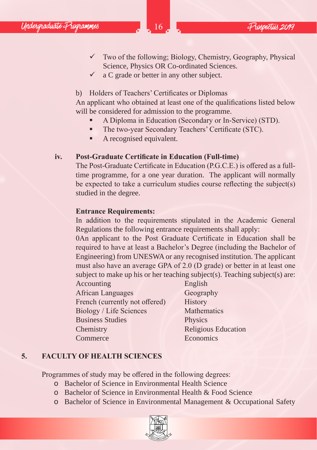- $\checkmark$  Two of the following; Biology, Chemistry, Geography, Physical Science, Physics OR Co-ordinated Sciences.
- $\checkmark$  a C grade or better in any other subject.

b) Holders of Teachers' Certificates or Diplomas

An applicant who obtained at least one of the qualifications listed below will be considered for admission to the programme.

- A Diploma in Education (Secondary or In-Service) (STD).
- The two-year Secondary Teachers' Certificate (STC).
- A recognised equivalent.

## **iv. Post-Graduate Certificate in Education (Full-time)**

The Post-Graduate Certificate in Education (P.G.C.E.) is offered as a fulltime programme, for a one year duration. The applicant will normally be expected to take a curriculum studies course reflecting the subject(s) studied in the degree.

## **Entrance Requirements:**

In addition to the requirements stipulated in the Academic General Regulations the following entrance requirements shall apply:

0An applicant to the Post Graduate Certificate in Education shall be required to have at least a Bachelor's Degree (including the Bachelor of Engineering) from UNESWA or any recognised institution. The applicant must also have an average GPA of 2.0 (D grade) or better in at least one subject to make up his or her teaching subject(s). Teaching subject(s) are:

Accounting English African Languages Geography French (currently not offered) History Biology / Life Sciences Mathematics Business Studies Physics Chemistry Religious Education Commerce Economics

# **5. FACULTY OF HEALTH SCIENCES**

Programmes of study may be offered in the following degrees:

- o Bachelor of Science in Environmental Health Science
- o Bachelor of Science in Environmental Health & Food Science
- o Bachelor of Science in Environmental Management & Occupational Safety

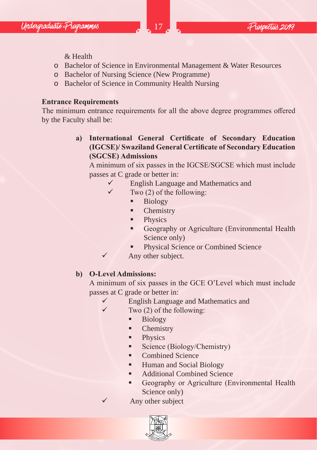& Health

- o Bachelor of Science in Environmental Management & Water Resources
- o Bachelor of Nursing Science (New Programme)
- o Bachelor of Science in Community Health Nursing

## **Entrance Requirements**

The minimum entrance requirements for all the above degree programmes offered by the Faculty shall be:

> **a) International General Certificate of Secondary Education (IGCSE)/ Swaziland General Certificate of Secondary Education (SGCSE) Admissions**

A minimum of six passes in the IGCSE/SGCSE which must include passes at C grade or better in:

- English Language and Mathematics and
- $\checkmark$  Two (2) of the following:
	- **Biology**
	- Chemistry
	- **Physics**
	- Geography or Agriculture (Environmental Health Science only)
	- Physical Science or Combined Science
- $\checkmark$  Any other subject.

## **b) O-Level Admissions:**

A minimum of six passes in the GCE O'Level which must include passes at C grade or better in:

- $\checkmark$  English Language and Mathematics and
- $\checkmark$  Two (2) of the following:
	- **Biology**
	- Chemistry
	- **Physics**
	- Science (Biology/Chemistry)
	- Combined Science
	- **Human and Social Biology**
	- Additional Combined Science
	- Geography or Agriculture (Environmental Health Science only)
	- Any other subject

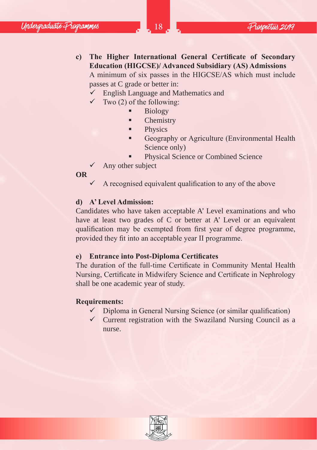**c) The Higher International General Certificate of Secondary Education (HIGCSE)/ Advanced Subsidiary (AS) Admissions** A minimum of six passes in the HIGCSE/AS which must include

passes at C grade or better in:

- $\checkmark$  English Language and Mathematics and
- $\checkmark$  Two (2) of the following:
	- Biology
	- Chemistry
	- Physics
	- Geography or Agriculture (Environmental Health Science only)
	- Physical Science or Combined Science
- $\checkmark$  Any other subject

## **OR**

 A recognised equivalent qualification to any of the above

## **d) A' Level Admission:**

Candidates who have taken acceptable A' Level examinations and who have at least two grades of C or better at A' Level or an equivalent qualification may be exempted from first year of degree programme, provided they fit into an acceptable year II programme.

## **e) Entrance into Post-Diploma Certificates**

The duration of the full-time Certificate in Community Mental Health Nursing, Certificate in Midwifery Science and Certificate in Nephrology shall be one academic year of study.

## **Requirements:**

- $\checkmark$  Diploma in General Nursing Science (or similar qualification)
- $\checkmark$  Current registration with the Swaziland Nursing Council as a nurse.

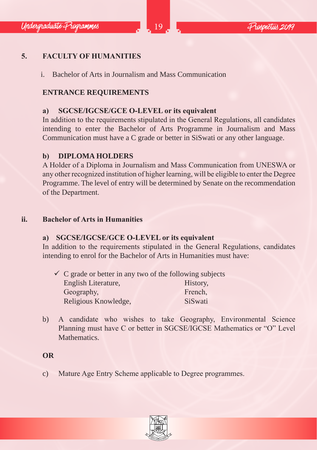# **5. FACULTY OF HUMANITIES**

i. Bachelor of Arts in Journalism and Mass Communication

# **ENTRANCE REQUIREMENTS**

## **a) SGCSE/IGCSE/GCE O-LEVEL or its equivalent**

In addition to the requirements stipulated in the General Regulations, all candidates intending to enter the Bachelor of Arts Programme in Journalism and Mass Communication must have a C grade or better in SiSwati or any other language.

## **b) DIPLOMA HOLDERS**

A Holder of a Diploma in Journalism and Mass Communication from UNESWA or any other recognized institution of higher learning, will be eligible to enter the Degree Programme. The level of entry will be determined by Senate on the recommendation of the Department.

#### **ii. Bachelor of Arts in Humanities**

## **a) SGCSE/IGCSE/GCE O-LEVEL or its equivalent**

In addition to the requirements stipulated in the General Regulations, candidates intending to enrol for the Bachelor of Arts in Humanities must have:

|                      | $\checkmark$ C grade or better in any two of the following subjects |
|----------------------|---------------------------------------------------------------------|
| English Literature,  | History.                                                            |
| Geography,           | French.                                                             |
| Religious Knowledge, | SiSwati                                                             |

b) A candidate who wishes to take Geography, Environmental Science Planning must have C or better in SGCSE/IGCSE Mathematics or "O" Level Mathematics.

## **OR**

c) Mature Age Entry Scheme applicable to Degree programmes.

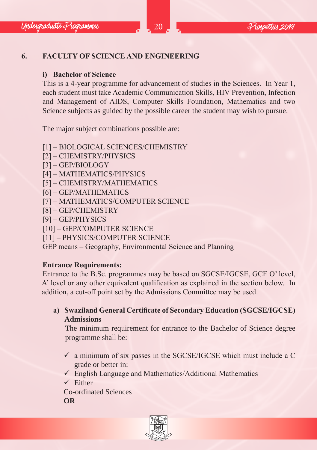# **6. FACULTY OF SCIENCE AND ENGINEERING**

## **i) Bachelor of Science**

This is a 4-year programme for advancement of studies in the Sciences. In Year 1, each student must take Academic Communication Skills, HIV Prevention, Infection and Management of AIDS, Computer Skills Foundation, Mathematics and two Science subjects as guided by the possible career the student may wish to pursue.

The major subject combinations possible are:

- [1] BIOLOGICAL SCIENCES/CHEMISTRY
- [2] CHEMISTRY/PHYSICS
- [3] GEP/BIOLOGY
- [4] MATHEMATICS/PHYSICS
- [5] CHEMISTRY/MATHEMATICS
- [6] GEP/MATHEMATICS
- [7] MATHEMATICS/COMPUTER SCIENCE
- [8] GEP/CHEMISTRY
- [9] GEP/PHYSICS
- [10] GEP/COMPUTER SCIENCE
- [11] PHYSICS/COMPUTER SCIENCE

GEP means – Geography, Environmental Science and Planning

# **Entrance Requirements:**

Entrance to the B.Sc. programmes may be based on SGCSE/IGCSE, GCE O' level, A' level or any other equivalent qualification as explained in the section below. In addition, a cut-off point set by the Admissions Committee may be used.

**a) Swaziland General Certificate of Secondary Education (SGCSE/IGCSE) Admissions**

The minimum requirement for entrance to the Bachelor of Science degree programme shall be:

- $\checkmark$  a minimum of six passes in the SGCSE/IGCSE which must include a C grade or better in:
- $\checkmark$  English Language and Mathematics/Additional Mathematics
- $\checkmark$  Fither
- Co-ordinated Sciences

**OR**

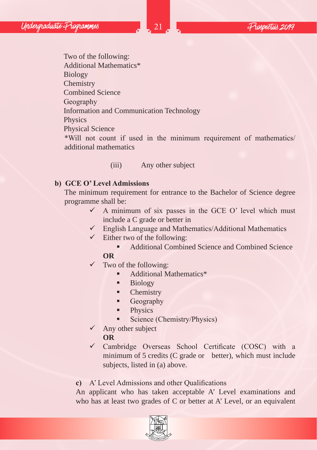Two of the following: Additional Mathematics\* Biology **Chemistry** Combined Science Geography Information and Communication Technology Physics Physical Science \*Will not count if used in the minimum requirement of mathematics/ additional mathematics

## (iii) Any other subject

#### **b) GCE O' Level Admissions**

The minimum requirement for entrance to the Bachelor of Science degree programme shall be:

- $\checkmark$  A minimum of six passes in the GCE O' level which must include a C grade or better in
- $\checkmark$  English Language and Mathematics/Additional Mathematics
- $\checkmark$  Either two of the following:
	- Additional Combined Science and Combined Science

## **OR**

- $\checkmark$  Two of the following:
	- Additional Mathematics\*
	- Biology
	- Chemistry
	- **Geography**
	- **Physics**
	- **Science (Chemistry/Physics)**
- $\checkmark$  Any other subject
	- **OR**
- $\checkmark$  Cambridge Overseas School Certificate (COSC) with a minimum of 5 credits (C grade or better), which must include subjects, listed in (a) above.

**c)** A' Level Admissions and other Qualifications

An applicant who has taken acceptable A' Level examinations and who has at least two grades of C or better at A' Level, or an equivalent

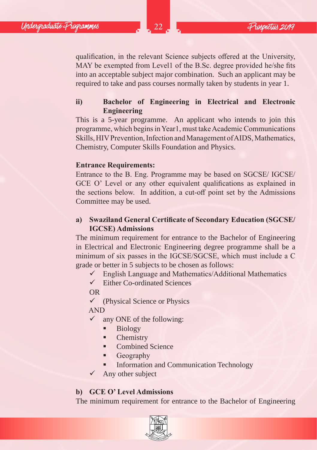qualification, in the relevant Science subjects offered at the University, MAY be exempted from Level1 of the B.Sc. degree provided he/she fits into an acceptable subject major combination. Such an applicant may be required to take and pass courses normally taken by students in year 1.

## **ii) Bachelor of Engineering in Electrical and Electronic Engineering**

This is a 5-year programme. An applicant who intends to join this programme, which begins in Year1, must take Academic Communications Skills, HIV Prevention, Infection and Management of AIDS, Mathematics, Chemistry, Computer Skills Foundation and Physics.

#### **Entrance Requirements:**

Entrance to the B. Eng. Programme may be based on SGCSE/ IGCSE/ GCE O' Level or any other equivalent qualifications as explained in the sections below. In addition, a cut-off point set by the Admissions Committee may be used.

## **a) Swaziland General Certificate of Secondary Education (SGCSE/ IGCSE) Admissions**

The minimum requirement for entrance to the Bachelor of Engineering in Electrical and Electronic Engineering degree programme shall be a minimum of six passes in the IGCSE/SGCSE, which must include a C grade or better in 5 subjects to be chosen as follows:

- $\checkmark$  English Language and Mathematics/Additional Mathematics
- $\checkmark$  Either Co-ordinated Sciences

OR

 $\checkmark$  (Physical Science or Physics

#### AND

- $\checkmark$  any ONE of the following:
	- **Biology**
	- Chemistry
	- Combined Science
	- Geography
	- Information and Communication Technology
- $\checkmark$  Any other subject

## **b) GCE O' Level Admissions**

The minimum requirement for entrance to the Bachelor of Engineering

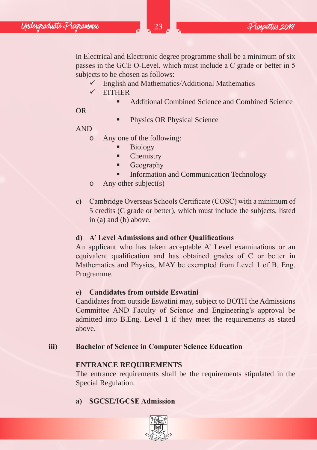in Electrical and Electronic degree programme shall be a minimum of six passes in the GCE O-Level, which must include a C grade or better in 5 subjects to be chosen as follows:

- $\checkmark$  English and Mathematics/Additional Mathematics
- $\checkmark$  EITHER
	- Additional Combined Science and Combined Science

OR

 Physics OR Physical Science

AND

- o Any one of the following:
	- Biology
	- Chemistry
	- **Geography**
	- Information and Communication Technology
- o Any other subject(s)
- **c)** Cambridge Overseas Schools Certificate (COSC) with a minimum of 5 credits (C grade or better), which must include the subjects, listed in (a) and (b) above.

## **d) A' Level Admissions and other Qualifications**

An applicant who has taken acceptable A' Level examinations or an equivalent qualification and has obtained grades of C or better in Mathematics and Physics, MAY be exempted from Level 1 of B. Eng. Programme.

## **e) Candidates from outside Eswatini**

Candidates from outside Eswatini may, subject to BOTH the Admissions Committee AND Faculty of Science and Engineering's approval be admitted into B.Eng. Level 1 if they meet the requirements as stated above.

## **iii) Bachelor of Science in Computer Science Education**

## **ENTRANCE REQUIREMENTS**

The entrance requirements shall be the requirements stipulated in the Special Regulation.

# **a) SGCSE/IGCSE Admission**

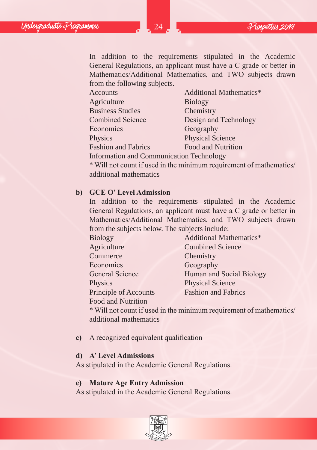In addition to the requirements stipulated in the Academic General Regulations, an applicant must have a C grade or better in Mathematics/Additional Mathematics, and TWO subjects drawn from the following subjects.

| Accounts                                        | Additional Mathematics* |
|-------------------------------------------------|-------------------------|
| Agriculture                                     | <b>Biology</b>          |
| <b>Business Studies</b>                         | Chemistry               |
| <b>Combined Science</b>                         | Design and Technology   |
| Economics                                       | Geography               |
| Physics                                         | <b>Physical Science</b> |
| <b>Fashion and Fabrics</b>                      | Food and Nutrition      |
| <b>Information and Communication Technology</b> |                         |

\* Will not count if used in the minimum requirement of mathematics/ additional mathematics

#### **b) GCE O' Level Admission**

In addition to the requirements stipulated in the Academic General Regulations, an applicant must have a C grade or better in Mathematics/Additional Mathematics, and TWO subjects drawn from the subjects below. The subjects include:

| <b>Biology</b>               | Additional Mathematics*    |
|------------------------------|----------------------------|
| Agriculture                  | <b>Combined Science</b>    |
| Commerce                     | Chemistry                  |
| Economics                    | Geography                  |
| General Science              | Human and Social Biology   |
| Physics                      | <b>Physical Science</b>    |
| <b>Principle of Accounts</b> | <b>Fashion and Fabrics</b> |
| Food and Nutrition           |                            |

\* Will not count if used in the minimum requirement of mathematics/ additional mathematics

**c)** A recognized equivalent qualification

#### **d) A' Level Admissions**

As stipulated in the Academic General Regulations.

#### **e) Mature Age Entry Admission**

As stipulated in the Academic General Regulations.

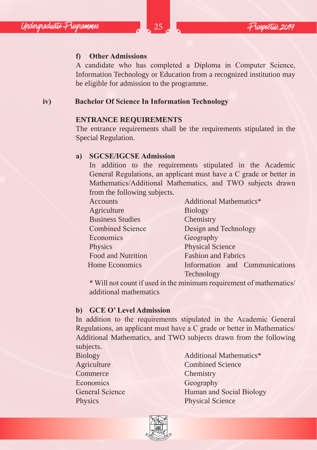#### **f) Other Admissions**

A candidate who has completed a Diploma in Computer Science, Information Technology or Education from a recognized institution may be eligible for admission to the programme.

**iv) Bachelor Of Science In Information Technology**

#### **ENTRANCE REQUIREMENTS**

The entrance requirements shall be the requirements stipulated in the Special Regulation.

#### **a) SGCSE/IGCSE Admission**

In addition to the requirements stipulated in the Academic General Regulations, an applicant must have a C grade or better in Mathematics/Additional Mathematics, and TWO subjects drawn from the following subjects.

| Accounts                | Additional Mathematics*        |  |  |
|-------------------------|--------------------------------|--|--|
| Agriculture             | <b>Biology</b>                 |  |  |
| <b>Business Studies</b> | Chemistry                      |  |  |
| <b>Combined Science</b> | Design and Technology          |  |  |
| Economics               | Geography                      |  |  |
| Physics                 | <b>Physical Science</b>        |  |  |
| Food and Nutrition      | <b>Fashion and Fabrics</b>     |  |  |
| <b>Home Economics</b>   | Information and Communications |  |  |
|                         | Technology                     |  |  |

\* Will not count if used in the minimum requirement of mathematics/ additional mathematics

#### **b) GCE O' Level Admission**

In addition to the requirements stipulated in the Academic General Regulations, an applicant must have a C grade or better in Mathematics/ Additional Mathematics, and TWO subjects drawn from the following subjects.

Commerce Chemistry Economics Geography

Biology Additional Mathematics\* Agriculture Combined Science General Science Human and Social Biology Physics Physical Science

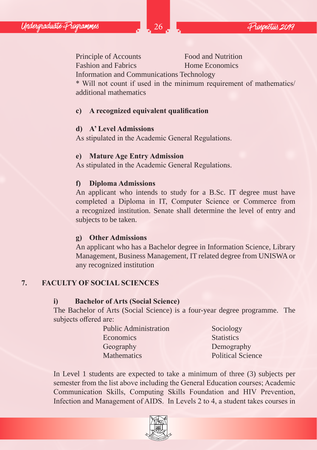Principle of Accounts Food and Nutrition Fashion and Fabrics **Home Economics** 

Information and Communications Technology

\* Will not count if used in the minimum requirement of mathematics/ additional mathematics

#### **c) A recognized equivalent qualification**

#### **d) A' Level Admissions**

As stipulated in the Academic General Regulations.

#### **e) Mature Age Entry Admission**

As stipulated in the Academic General Regulations.

#### **f) Diploma Admissions**

An applicant who intends to study for a B.Sc. IT degree must have completed a Diploma in IT, Computer Science or Commerce from a recognized institution. Senate shall determine the level of entry and subjects to be taken.

#### **g) Other Admissions**

An applicant who has a Bachelor degree in Information Science, Library Management, Business Management, IT related degree from UNISWA or any recognized institution

#### **7. FACULTY OF SOCIAL SCIENCES**

#### **i) Bachelor of Arts (Social Science)**

The Bachelor of Arts (Social Science) is a four-year degree programme. The subjects offered are:

> Public Administration Sociology Economics Statistics Geography Demography Mathematics **Political Science**

In Level 1 students are expected to take a minimum of three (3) subjects per semester from the list above including the General Education courses; Academic Communication Skills, Computing Skills Foundation and HIV Prevention, Infection and Management of AIDS. In Levels 2 to 4, a student takes courses in

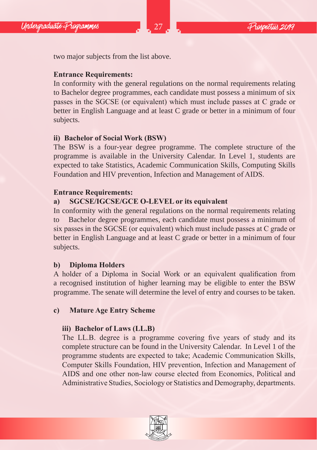two major subjects from the list above.

# **Entrance Requirements:**

In conformity with the general regulations on the normal requirements relating to Bachelor degree programmes, each candidate must possess a minimum of six passes in the SGCSE (or equivalent) which must include passes at C grade or better in English Language and at least C grade or better in a minimum of four subjects.

# **ii) Bachelor of Social Work (BSW)**

The BSW is a four-year degree programme. The complete structure of the programme is available in the University Calendar. In Level 1, students are expected to take Statistics, Academic Communication Skills, Computing Skills Foundation and HIV prevention, Infection and Management of AIDS.

# **Entrance Requirements:**

# **a) SGCSE/IGCSE/GCE O-LEVEL or its equivalent**

In conformity with the general regulations on the normal requirements relating to Bachelor degree programmes, each candidate must possess a minimum of six passes in the SGCSE (or equivalent) which must include passes at C grade or better in English Language and at least C grade or better in a minimum of four subjects.

# **b) Diploma Holders**

A holder of a Diploma in Social Work or an equivalent qualification from a recognised institution of higher learning may be eligible to enter the BSW programme. The senate will determine the level of entry and courses to be taken.

# **c) Mature Age Entry Scheme**

# **iii) Bachelor of Laws (LL.B)**

The LL.B. degree is a programme covering five years of study and its complete structure can be found in the University Calendar. In Level 1 of the programme students are expected to take; Academic Communication Skills, Computer Skills Foundation, HIV prevention, Infection and Management of AIDS and one other non-law course elected from Economics, Political and Administrative Studies, Sociology or Statistics and Demography, departments.

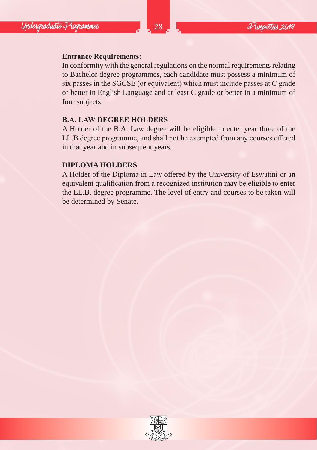# **Entrance Requirements:**

In conformity with the general regulations on the normal requirements relating to Bachelor degree programmes, each candidate must possess a minimum of six passes in the SGCSE (or equivalent) which must include passes at C grade or better in English Language and at least C grade or better in a minimum of four subjects.

## **B.A. LAW DEGREE HOLDERS**

A Holder of the B.A. Law degree will be eligible to enter year three of the LL.B degree programme, and shall not be exempted from any courses offered in that year and in subsequent years.

#### **DIPLOMA HOLDERS**

A Holder of the Diploma in Law offered by the University of Eswatini or an equivalent qualification from a recognized institution may be eligible to enter the LL.B. degree programme. The level of entry and courses to be taken will be determined by Senate.

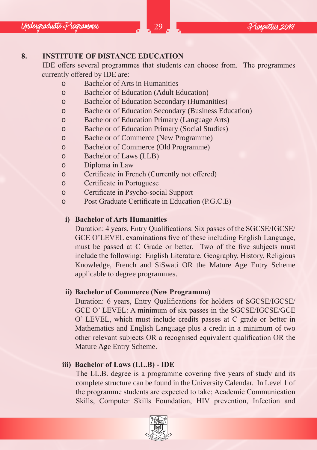## **8. INSTITUTE OF DISTANCE EDUCATION**

IDE offers several programmes that students can choose from. The programmes currently offered by IDE are:

- o Bachelor of Arts in Humanities
- o Bachelor of Education (Adult Education)
- o Bachelor of Education Secondary (Humanities)
- o Bachelor of Education Secondary (Business Education)
- o Bachelor of Education Primary (Language Arts)
- o Bachelor of Education Primary (Social Studies)
- o Bachelor of Commerce (New Programme)
- o Bachelor of Commerce (Old Programme)
- o Bachelor of Laws (LLB)
- o Diploma in Law
- o Certificate in French (Currently not offered)
- o Certificate in Portuguese
- o Certificate in Psycho-social Support
- o Post Graduate Certificate in Education (P.G.C.E)

#### **i) Bachelor of Arts Humanities**

Duration: 4 years, Entry Qualifications: Six passes of the SGCSE/IGCSE/ GCE O'LEVEL examinations five of these including English Language, must be passed at C Grade or better. Two of the five subjects must include the following: English Literature, Geography, History, Religious Knowledge, French and SiSwati OR the Mature Age Entry Scheme applicable to degree programmes.

#### **ii) Bachelor of Commerce (New Programme)**

Duration: 6 years, Entry Qualifications for holders of SGCSE/IGCSE/ GCE O' LEVEL: A minimum of six passes in the SGCSE/IGCSE/GCE O' LEVEL, which must include credits passes at C grade or better in Mathematics and English Language plus a credit in a minimum of two other relevant subjects OR a recognised equivalent qualification OR the Mature Age Entry Scheme.

## **iii) Bachelor of Laws (LL.B) - IDE**

The LL.B. degree is a programme covering five years of study and its complete structure can be found in the University Calendar. In Level 1 of the programme students are expected to take; Academic Communication Skills, Computer Skills Foundation, HIV prevention, Infection and

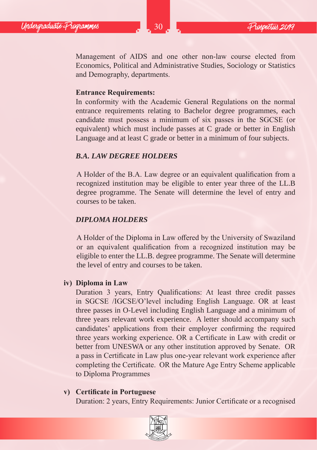Management of AIDS and one other non-law course elected from Economics, Political and Administrative Studies, Sociology or Statistics and Demography, departments.

#### **Entrance Requirements:**

In conformity with the Academic General Regulations on the normal entrance requirements relating to Bachelor degree programmes, each candidate must possess a minimum of six passes in the SGCSE (or equivalent) which must include passes at C grade or better in English Language and at least C grade or better in a minimum of four subjects.

#### *B.A. LAW DEGREE HOLDERS*

A Holder of the B.A. Law degree or an equivalent qualification from a recognized institution may be eligible to enter year three of the LL.B degree programme. The Senate will determine the level of entry and courses to be taken.

#### *DIPLOMA HOLDERS*

A Holder of the Diploma in Law offered by the University of Swaziland or an equivalent qualification from a recognized institution may be eligible to enter the LL.B. degree programme. The Senate will determine the level of entry and courses to be taken.

#### **iv) Diploma in Law**

Duration 3 years, Entry Qualifications: At least three credit passes in SGCSE /IGCSE/O'level including English Language. OR at least three passes in O-Level including English Language and a minimum of three years relevant work experience. A letter should accompany such candidates' applications from their employer confirming the required three years working experience. OR a Certificate in Law with credit or better from UNESWA or any other institution approved by Senate. OR a pass in Certificate in Law plus one-year relevant work experience after completing the Certificate. OR the Mature Age Entry Scheme applicable to Diploma Programmes

#### **v) Certificate in Portuguese**

Duration: 2 years, Entry Requirements: Junior Certificate or a recognised

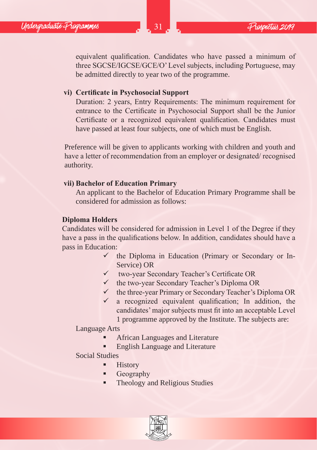equivalent qualification. Candidates who have passed a minimum of three SGCSE/IGCSE/GCE/O' Level subjects, including Portuguese, may be admitted directly to year two of the programme.

#### **vi) Certificate in Psychosocial Support**

Duration: 2 years, Entry Requirements: The minimum requirement for entrance to the Certificate in Psychosocial Support shall be the Junior Certificate or a recognized equivalent qualification. Candidates must have passed at least four subjects, one of which must be English.

Preference will be given to applicants working with children and youth and have a letter of recommendation from an employer or designated/ recognised authority.

#### **vii) Bachelor of Education Primary**

An applicant to the Bachelor of Education Primary Programme shall be considered for admission as follows:

#### **Diploma Holders**

Candidates will be considered for admission in Level 1 of the Degree if they have a pass in the qualifications below. In addition, candidates should have a pass in Education:

- $\checkmark$  the Diploma in Education (Primary or Secondary or In-Service) OR
- two-year Secondary Teacher's Certificate OR
- $\checkmark$  the two-year Secondary Teacher's Diploma OR
- $\checkmark$  the three-year Primary or Secondary Teacher's Diploma OR
- $\checkmark$  a recognized equivalent qualification; In addition, the candidates' major subjects must fit into an acceptable Level

1 programme approved by the Institute. The subjects are:

#### Language Arts

- African Languages and Literature
- English Language and Literature

Social Studies

- **History**
- **Geography**
- Theology and Religious Studies

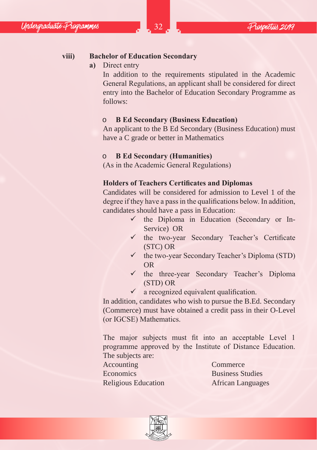# **viii) Bachelor of Education Secondary**

**a)** Direct entry

In addition to the requirements stipulated in the Academic General Regulations, an applicant shall be considered for direct entry into the Bachelor of Education Secondary Programme as follows:

#### o **B Ed Secondary (Business Education)**

An applicant to the B Ed Secondary (Business Education) must have a C grade or better in Mathematics

#### o **B Ed Secondary (Humanities)**

(As in the Academic General Regulations)

#### **Holders of Teachers Certificates and Diplomas**

Candidates will be considered for admission to Level 1 of the degree if they have a pass in the qualifications below. In addition, candidates should have a pass in Education:

- $\checkmark$  the Diploma in Education (Secondary or In-Service) OR
- $\checkmark$  the two-year Secondary Teacher's Certificate (STC) OR
- $\checkmark$  the two-year Secondary Teacher's Diploma (STD) OR
- $\checkmark$  the three-year Secondary Teacher's Diploma (STD) OR
- $\checkmark$  a recognized equivalent qualification.

In addition, candidates who wish to pursue the B.Ed. Secondary (Commerce) must have obtained a credit pass in their O-Level (or IGCSE) Mathematics.

The major subjects must fit into an acceptable Level 1 programme approved by the Institute of Distance Education. The subjects are:

Accounting Commerce Economics Business Studies

Religious Education **African Languages** 

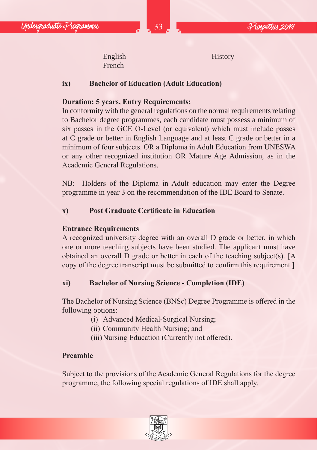English History French

## **ix) Bachelor of Education (Adult Education)**

## **Duration: 5 years, Entry Requirements:**

In conformity with the general regulations on the normal requirements relating to Bachelor degree programmes, each candidate must possess a minimum of six passes in the GCE O-Level (or equivalent) which must include passes at C grade or better in English Language and at least C grade or better in a minimum of four subjects. OR a Diploma in Adult Education from UNESWA or any other recognized institution OR Mature Age Admission, as in the Academic General Regulations.

NB: Holders of the Diploma in Adult education may enter the Degree programme in year 3 on the recommendation of the IDE Board to Senate.

## **x) Post Graduate Certificate in Education**

## **Entrance Requirements**

A recognized university degree with an overall D grade or better, in which one or more teaching subjects have been studied. The applicant must have obtained an overall D grade or better in each of the teaching subject(s). [A copy of the degree transcript must be submitted to confirm this requirement.]

## **xi) Bachelor of Nursing Science - Completion (IDE)**

The Bachelor of Nursing Science (BNSc) Degree Programme is offered in the following options:

- (i) Advanced Medical-Surgical Nursing;
- (ii) Community Health Nursing; and
- (iii)Nursing Education (Currently not offered).

# **Preamble**

Subject to the provisions of the Academic General Regulations for the degree programme, the following special regulations of IDE shall apply.

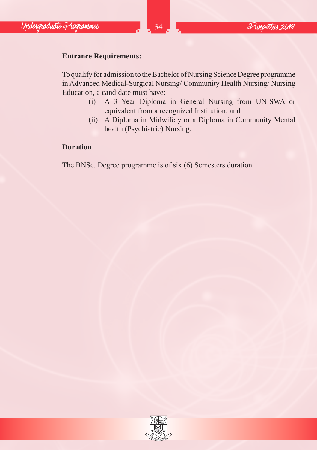# **Entrance Requirements:**

To qualify for admission to the Bachelor of Nursing Science Degree programme in Advanced Medical-Surgical Nursing/ Community Health Nursing/ Nursing Education, a candidate must have:

- (i) A 3 Year Diploma in General Nursing from UNISWA or equivalent from a recognized Institution; and
- (ii) A Diploma in Midwifery or a Diploma in Community Mental health (Psychiatric) Nursing.

## **Duration**

The BNSc. Degree programme is of six (6) Semesters duration.

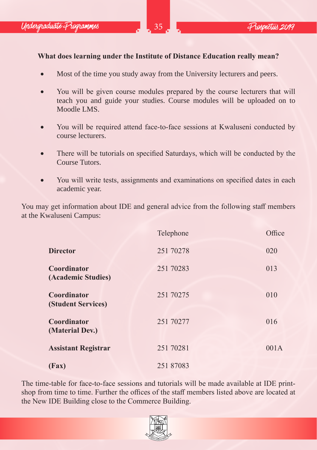# **What does learning under the Institute of Distance Education really mean?**

- Most of the time you study away from the University lecturers and peers.
- You will be given course modules prepared by the course lecturers that will teach you and guide your studies. Course modules will be uploaded on to Moodle LMS.
- You will be required attend face-to-face sessions at Kwaluseni conducted by course lecturers.
- There will be tutorials on specified Saturdays, which will be conducted by the Course Tutors.
- You will write tests, assignments and examinations on specified dates in each academic year.

You may get information about IDE and general advice from the following staff members at the Kwaluseni Campus:

|                                   | Telephone | Office |
|-----------------------------------|-----------|--------|
| <b>Director</b>                   | 251 70278 | 020    |
| Coordinator<br>(Academic Studies) | 251 70283 | 013    |
| Coordinator<br>(Student Services) | 251 70275 | 010    |
| Coordinator<br>(Material Dev.)    | 251 70277 | 016    |
| <b>Assistant Registrar</b>        | 251 70281 | 001A   |
| (Fax)                             | 251 87083 |        |

The time-table for face-to-face sessions and tutorials will be made available at IDE printshop from time to time. Further the offices of the staff members listed above are located at the New IDE Building close to the Commerce Building.

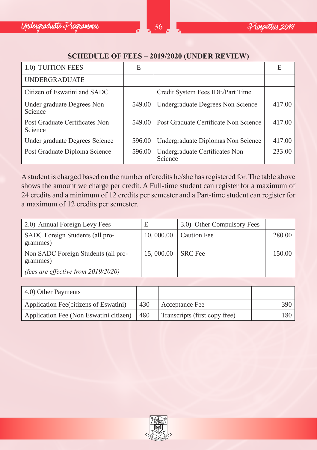

#### **SCHEDULE OF FEES – 2019/2020 (UNDER REVIEW)**

| 1.0) TUITION FEES                         | Е      |                                           | Е      |
|-------------------------------------------|--------|-------------------------------------------|--------|
| <b>UNDERGRADUATE</b>                      |        |                                           |        |
| Citizen of Eswatini and SADC              |        | Credit System Fees IDE/Part Time          |        |
| Under graduate Degrees Non-<br>Science    | 549.00 | Undergraduate Degrees Non Science         | 417.00 |
| Post Graduate Certificates Non<br>Science | 549.00 | Post Graduate Certificate Non Science     | 417.00 |
| Under graduate Degrees Science            | 596.00 | Undergraduate Diplomas Non Science        | 417.00 |
| Post Graduate Diploma Science             | 596.00 | Undergraduate Certificates Non<br>Science | 233.00 |

A student is charged based on the number of credits he/she has registered for. The table above shows the amount we charge per credit. A Full-time student can register for a maximum of 24 credits and a minimum of 12 credits per semester and a Part-time student can register for a maximum of 12 credits per semester.

| 2.0) Annual Foreign Levy Fees                   | Е                 | 3.0) Other Compulsory Fees |        |
|-------------------------------------------------|-------------------|----------------------------|--------|
| SADC Foreign Students (all pro-<br>grammes)     |                   | 10, 000.00   Caution Fee   | 280.00 |
| Non SADC Foreign Students (all pro-<br>grammes) | 15,000.00 SRC Fee |                            | 150.00 |
| (fees are effective from $2019/2020$ )          |                   |                            |        |

| 4.0) Other Payments                    |       |                               |       |
|----------------------------------------|-------|-------------------------------|-------|
| Application Fee(citizens of Eswatini)  | 430   | Acceptance Fee                | 390 I |
| Application Fee (Non Eswatini citizen) | l 480 | Transcripts (first copy free) | 180 I |

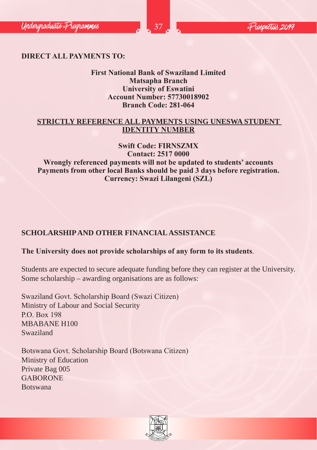# **DIRECT ALL PAYMENTS TO:**

## **First National Bank of Swaziland Limited Matsapha Branch University of Eswatini Account Number: 57730018902 Branch Code: 281-064**

#### **STRICTLY REFERENCE ALL PAYMENTS USING UNESWA STUDENT IDENTITY NUMBER**

#### **Swift Code: FIRNSZMX Contact: 2517 0000**

**Wrongly referenced payments will not be updated to students' accounts Payments from other local Banks should be paid 3 days before registration. Currency: Swazi Lilangeni (SZL)**

# **SCHOLARSHIP AND OTHER FINANCIAL ASSISTANCE**

## **The University does not provide scholarships of any form to its students**.

Students are expected to secure adequate funding before they can register at the University. Some scholarship – awarding organisations are as follows:

Swaziland Govt. Scholarship Board (Swazi Citizen) Ministry of Labour and Social Security P.O. Box 198 MBABANE H100 Swaziland

Botswana Govt. Scholarship Board (Botswana Citizen) Ministry of Education Private Bag 005 GABORONE Botswana

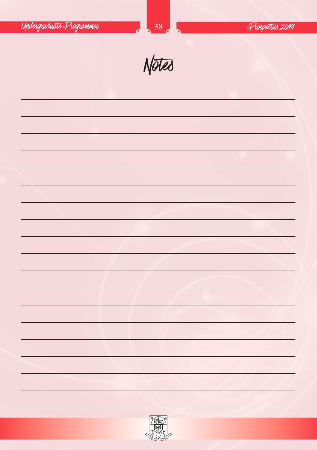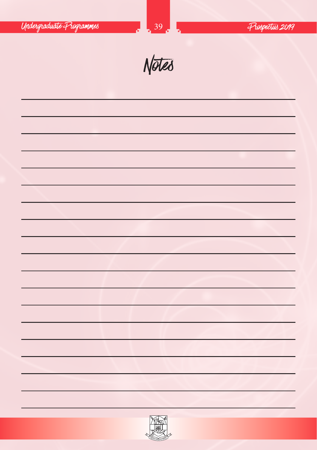